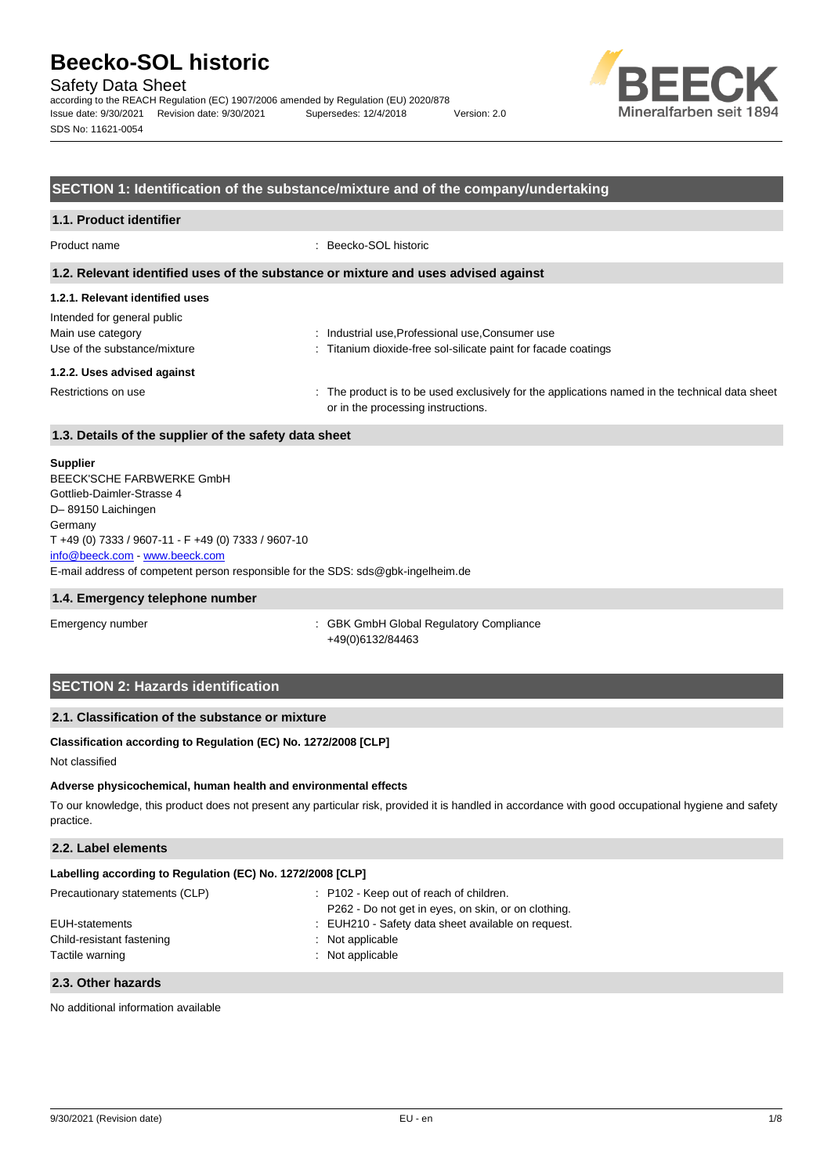Safety Data Sheet

according to the REACH Regulation (EC) 1907/2006 amended by Regulation (EU) 2020/878 Issue date: 9/30/2021 Revision date: 9/30/2021 Supersedes: 12/4/2018 Version: 2.0 SDS No: 11621-0054



# **SECTION 1: Identification of the substance/mixture and of the company/undertaking**

# **1.1. Product identifier**

Product name : Beecko-SOL historic

#### **1.2. Relevant identified uses of the substance or mixture and uses advised against**

# **1.2.1. Relevant identified uses**

| Intended for general public  |                                                                                                                                      |
|------------------------------|--------------------------------------------------------------------------------------------------------------------------------------|
| Main use category            | : Industrial use, Professional use, Consumer use                                                                                     |
| Use of the substance/mixture | : Titanium dioxide-free sol-silicate paint for facade coatings                                                                       |
| 1.2.2. Uses advised against  |                                                                                                                                      |
| Restrictions on use          | : The product is to be used exclusively for the applications named in the technical data sheet<br>or in the processing instructions. |

# **1.3. Details of the supplier of the safety data sheet**

#### **Supplier**

E-mail address of competent person responsible for the SDS: sds@gbk-ingelheim.de BEECK'SCHE FARBWERKE GmbH Gottlieb-Daimler-Strasse 4 D– 89150 Laichingen **Germany** T +49 (0) 7333 / 9607-11 - F +49 (0) 7333 / 9607-10 [info@beeck.com](mailto:info@beeck.com) - [www.beeck.com](http://www.beeck.com/)

#### **1.4. Emergency telephone number**

Emergency number **Emergency** number **1996** COMERGING COMPLIANCE: GBK GmbH Global Regulatory Compliance +49(0)6132/84463

# **SECTION 2: Hazards identification**

# **2.1. Classification of the substance or mixture**

# **Classification according to Regulation (EC) No. 1272/2008 [CLP]**

Not classified

#### **Adverse physicochemical, human health and environmental effects**

To our knowledge, this product does not present any particular risk, provided it is handled in accordance with good occupational hygiene and safety practice.

# **2.2. Label elements**

| Labelling according to Regulation (EC) No. 1272/2008 [CLP] |                                                     |
|------------------------------------------------------------|-----------------------------------------------------|
| Precautionary statements (CLP)                             | : P102 - Keep out of reach of children.             |
|                                                            | P262 - Do not get in eyes, on skin, or on clothing. |
| EUH-statements                                             | : EUH210 - Safety data sheet available on request.  |
| Child-resistant fastening                                  | : Not applicable                                    |

#### **2.3. Other hazards**

No additional information available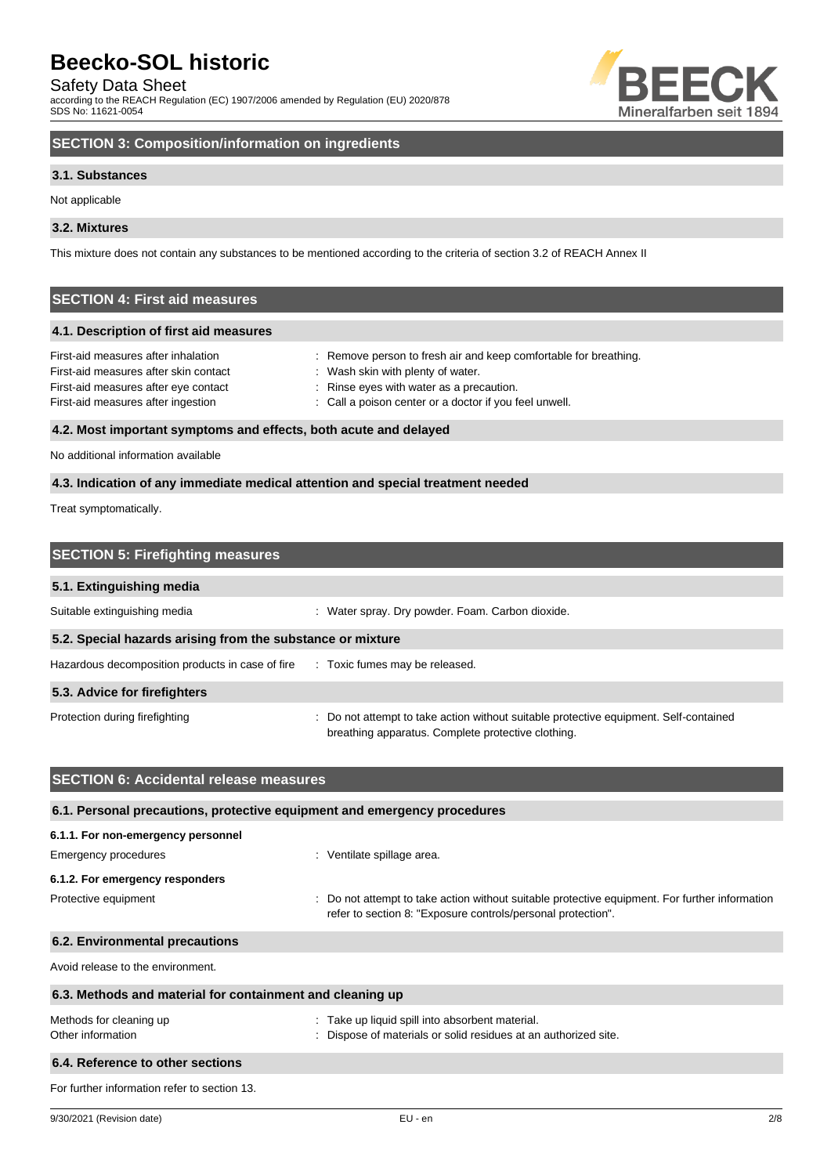Safety Data Sheet

according to the REACH Regulation (EC) 1907/2006 amended by Regulation (EU) 2020/878 SDS No: 11621-0054



# **SECTION 3: Composition/information on ingredients**

# **3.1. Substances**

Not applicable

# **3.2. Mixtures**

This mixture does not contain any substances to be mentioned according to the criteria of section 3.2 of REACH Annex II

# **SECTION 4: First aid measures**

# **4.1. Description of first aid measures**

| First-aid measures after inhalation   | : Remove person to fresh air and keep comfortable for breathing. |
|---------------------------------------|------------------------------------------------------------------|
| First-aid measures after skin contact | Wash skin with plenty of water.                                  |
| First-aid measures after eye contact  | : Rinse eyes with water as a precaution.                         |
| First-aid measures after ingestion    | : Call a poison center or a doctor if you feel unwell.           |
|                                       |                                                                  |

# **4.2. Most important symptoms and effects, both acute and delayed**

No additional information available

# **4.3. Indication of any immediate medical attention and special treatment needed**

Treat symptomatically.

| <b>SECTION 5: Firefighting measures</b>                    |                                                                                                                                             |  |
|------------------------------------------------------------|---------------------------------------------------------------------------------------------------------------------------------------------|--|
| 5.1. Extinguishing media                                   |                                                                                                                                             |  |
| Suitable extinguishing media                               | : Water spray. Dry powder. Foam. Carbon dioxide.                                                                                            |  |
| 5.2. Special hazards arising from the substance or mixture |                                                                                                                                             |  |
| Hazardous decomposition products in case of fire           | : Toxic fumes may be released.                                                                                                              |  |
| 5.3. Advice for firefighters                               |                                                                                                                                             |  |
| Protection during firefighting                             | : Do not attempt to take action without suitable protective equipment. Self-contained<br>breathing apparatus. Complete protective clothing. |  |

| <b>SECTION 6: Accidental release measures</b>                            |                                                                                                                                                                |  |  |
|--------------------------------------------------------------------------|----------------------------------------------------------------------------------------------------------------------------------------------------------------|--|--|
| 6.1. Personal precautions, protective equipment and emergency procedures |                                                                                                                                                                |  |  |
| 6.1.1. For non-emergency personnel                                       |                                                                                                                                                                |  |  |
| Emergency procedures                                                     | : Ventilate spillage area.                                                                                                                                     |  |  |
| 6.1.2. For emergency responders                                          |                                                                                                                                                                |  |  |
| Protective equipment                                                     | : Do not attempt to take action without suitable protective equipment. For further information<br>refer to section 8: "Exposure controls/personal protection". |  |  |
| 6.2. Environmental precautions                                           |                                                                                                                                                                |  |  |
| Avoid release to the environment.                                        |                                                                                                                                                                |  |  |
| 6.3. Methods and material for containment and cleaning up                |                                                                                                                                                                |  |  |
| Methods for cleaning up<br>Other information                             | : Take up liquid spill into absorbent material.<br>: Dispose of materials or solid residues at an authorized site.                                             |  |  |
| 6.4. Reference to other sections                                         |                                                                                                                                                                |  |  |
| For further information refer to section 13.                             |                                                                                                                                                                |  |  |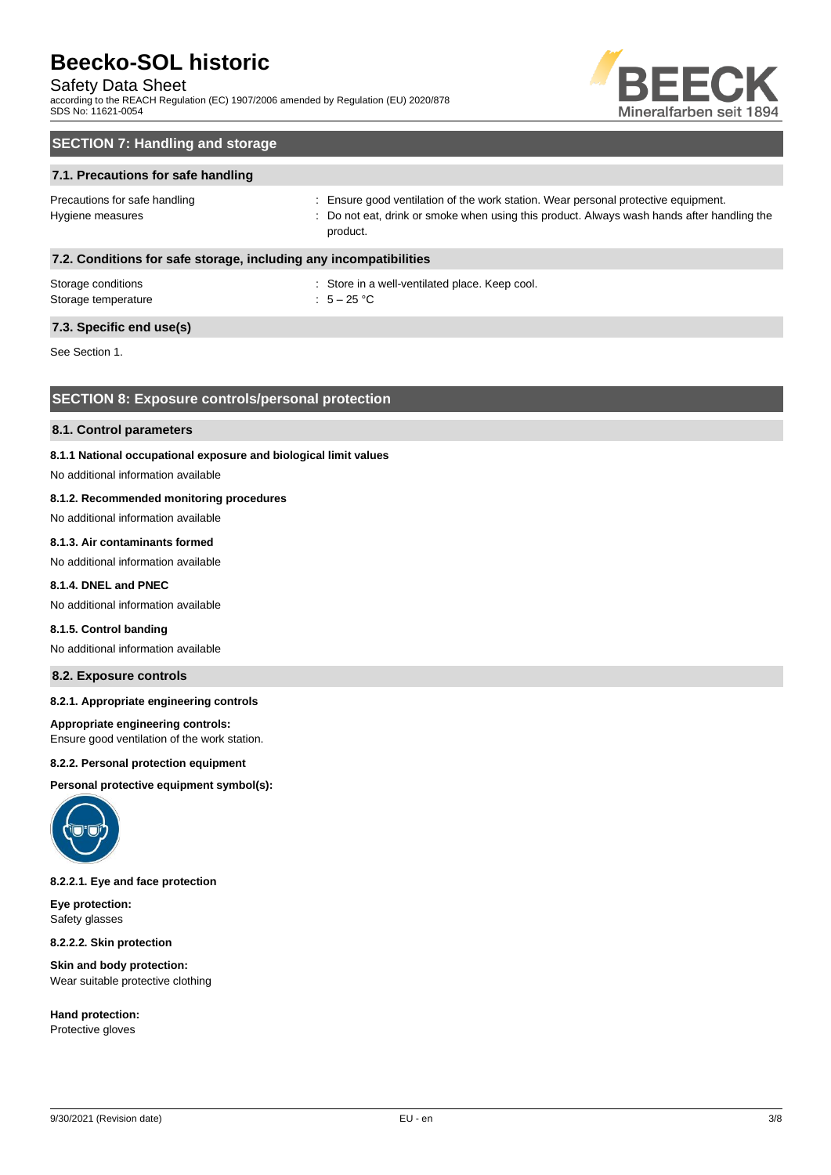# Safety Data Sheet

according to the REACH Regulation (EC) 1907/2006 amended by Regulation (EU) 2020/878 SDS No: 11621-0054



# **SECTION 7: Handling and storage**

# **7.1. Precautions for safe handling**

Precautions for safe handling state is ensure good ventilation of the work station. Wear personal protective equipment. Hygiene measures states of the state of the not eat, drink or smoke when using this product. Always wash hands after handling the product.

# **7.2. Conditions for safe storage, including any incompatibilities**

| Storage conditions  | : Store in a |
|---------------------|--------------|
| Storage temperature | : $5-25$ °C  |

: Store in a well-ventilated place. Keep cool.

# **7.3. Specific end use(s)**

See Section 1.

# **SECTION 8: Exposure controls/personal protection**

#### **8.1. Control parameters**

# **8.1.1 National occupational exposure and biological limit values**

No additional information available

# **8.1.2. Recommended monitoring procedures**

No additional information available

# **8.1.3. Air contaminants formed**

No additional information available

# **8.1.4. DNEL and PNEC**

No additional information available

#### **8.1.5. Control banding**

No additional information available

# **8.2. Exposure controls**

# **8.2.1. Appropriate engineering controls**

#### **Appropriate engineering controls:**

Ensure good ventilation of the work station.

#### **8.2.2. Personal protection equipment**

**Personal protective equipment symbol(s):**



**8.2.2.1. Eye and face protection**

**Eye protection:** Safety glasses

**8.2.2.2. Skin protection**

**Skin and body protection:** Wear suitable protective clothing

**Hand protection:** Protective gloves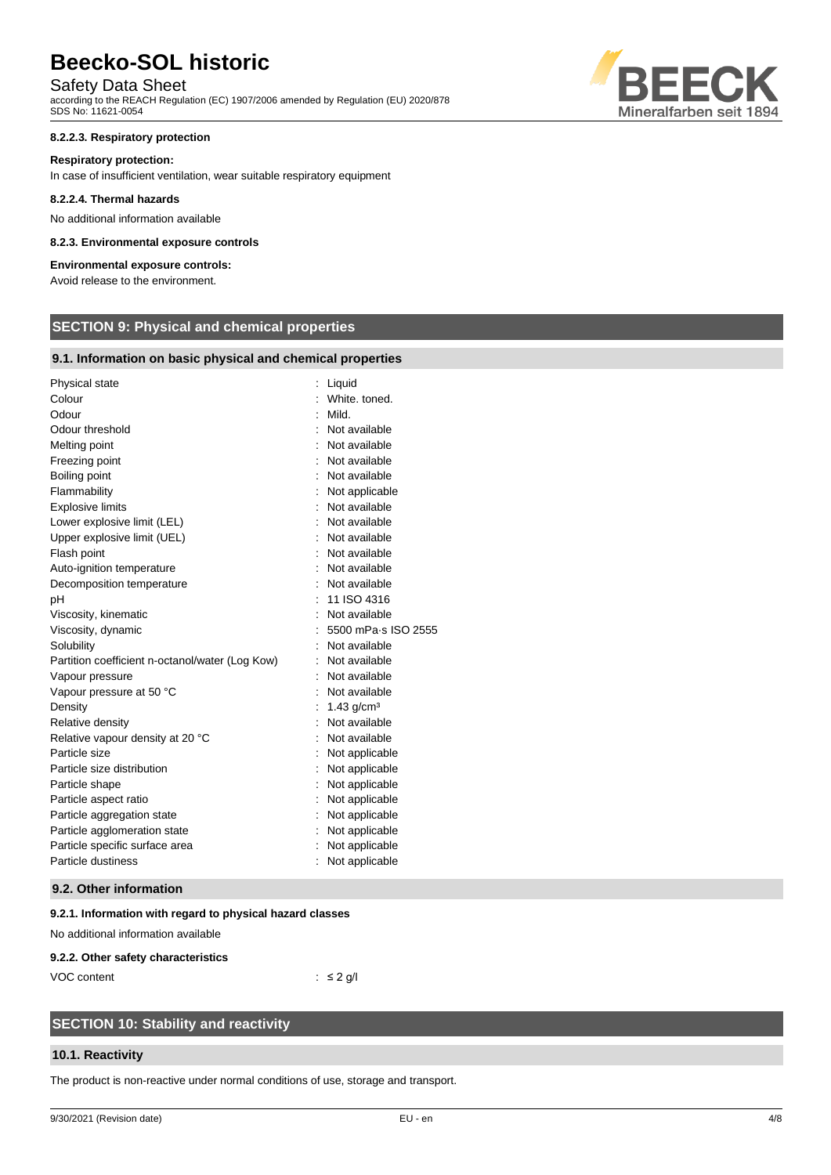# Safety Data Sheet

according to the REACH Regulation (EC) 1907/2006 amended by Regulation (EU) 2020/878 SDS No: 11621-0054

# **8.2.2.3. Respiratory protection**

#### **Respiratory protection:**

In case of insufficient ventilation, wear suitable respiratory equipment

#### **8.2.2.4. Thermal hazards**

No additional information available

### **8.2.3. Environmental exposure controls**

# **Environmental exposure controls:**

Avoid release to the environment.

# **SECTION 9: Physical and chemical properties**

# **9.1. Information on basic physical and chemical properties**

| Physical state                                  | Liquid              |
|-------------------------------------------------|---------------------|
| Colour                                          | White, toned.       |
| Odour                                           | Mild.               |
| Odour threshold                                 | Not available       |
| Melting point                                   | Not available       |
| Freezing point                                  | Not available       |
| Boiling point                                   | Not available       |
| Flammability                                    | Not applicable      |
| <b>Explosive limits</b>                         | Not available       |
| Lower explosive limit (LEL)                     | Not available       |
| Upper explosive limit (UEL)                     | Not available       |
| Flash point                                     | Not available       |
| Auto-ignition temperature                       | Not available       |
| Decomposition temperature                       | Not available       |
| рH                                              | 11 ISO 4316         |
| Viscosity, kinematic                            | Not available       |
| Viscosity, dynamic                              | 5500 mPa-s ISO 2555 |
| Solubility                                      | Not available       |
| Partition coefficient n-octanol/water (Log Kow) | Not available       |
| Vapour pressure                                 | Not available       |
| Vapour pressure at 50 °C                        | Not available       |
| Density                                         | 1.43 $q/cm3$        |
| Relative density                                | Not available       |
| Relative vapour density at 20 °C                | Not available       |
| Particle size                                   | Not applicable      |
| Particle size distribution                      | Not applicable      |
| Particle shape                                  | Not applicable      |
| Particle aspect ratio                           | Not applicable      |
| Particle aggregation state                      | Not applicable      |
| Particle agglomeration state                    | Not applicable      |
| Particle specific surface area                  | Not applicable      |
| Particle dustiness                              | Not applicable      |
|                                                 |                     |

# **9.2. Other information**

# **9.2.1. Information with regard to physical hazard classes**

No additional information available

#### **9.2.2. Other safety characteristics**

VOC content : ≤ 2 g/l

# **SECTION 10: Stability and reactivity**

# **10.1. Reactivity**

The product is non-reactive under normal conditions of use, storage and transport.

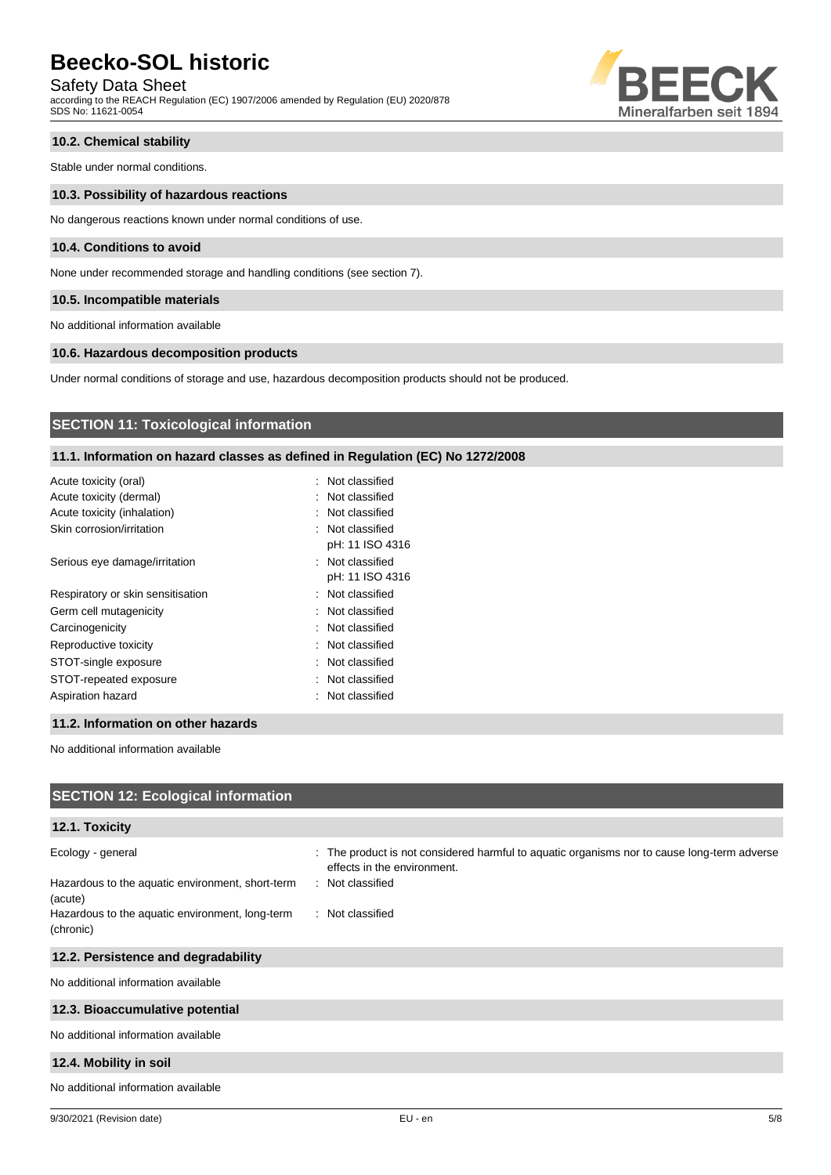Safety Data Sheet

according to the REACH Regulation (EC) 1907/2006 amended by Regulation (EU) 2020/878 SDS No: 11621-0054



# **10.2. Chemical stability**

Stable under normal conditions.

#### **10.3. Possibility of hazardous reactions**

No dangerous reactions known under normal conditions of use.

# **10.4. Conditions to avoid**

None under recommended storage and handling conditions (see section 7).

#### **10.5. Incompatible materials**

No additional information available

# **10.6. Hazardous decomposition products**

Under normal conditions of storage and use, hazardous decomposition products should not be produced.

# **SECTION 11: Toxicological information**

# **11.1. Information on hazard classes as defined in Regulation (EC) No 1272/2008**

| Acute toxicity (oral)             | : Not classified |
|-----------------------------------|------------------|
| Acute toxicity (dermal)           | : Not classified |
| Acute toxicity (inhalation)       | : Not classified |
| Skin corrosion/irritation         | : Not classified |
|                                   | pH: 11 ISO 4316  |
| Serious eye damage/irritation     | : Not classified |
|                                   | pH: 11 ISO 4316  |
| Respiratory or skin sensitisation | : Not classified |
| Germ cell mutagenicity            | : Not classified |
| Carcinogenicity                   | : Not classified |
| Reproductive toxicity             | : Not classified |
| STOT-single exposure              | : Not classified |
| STOT-repeated exposure            | : Not classified |
| Aspiration hazard                 | : Not classified |
|                                   |                  |

### **11.2. Information on other hazards**

No additional information available

| <b>SECTION 12: Ecological information</b>                                                                                                        |                                                                                                                                                                    |
|--------------------------------------------------------------------------------------------------------------------------------------------------|--------------------------------------------------------------------------------------------------------------------------------------------------------------------|
| 12.1. Toxicity                                                                                                                                   |                                                                                                                                                                    |
| Ecology - general<br>Hazardous to the aquatic environment, short-term<br>(acute)<br>Hazardous to the aquatic environment, long-term<br>(chronic) | : The product is not considered harmful to aquatic organisms nor to cause long-term adverse<br>effects in the environment.<br>: Not classified<br>: Not classified |
| 12.2. Persistence and degradability                                                                                                              |                                                                                                                                                                    |
| No additional information available                                                                                                              |                                                                                                                                                                    |
| 12.3. Bioaccumulative potential                                                                                                                  |                                                                                                                                                                    |
| No additional information available                                                                                                              |                                                                                                                                                                    |
| 12.4. Mobility in soil                                                                                                                           |                                                                                                                                                                    |
| No additional information available                                                                                                              |                                                                                                                                                                    |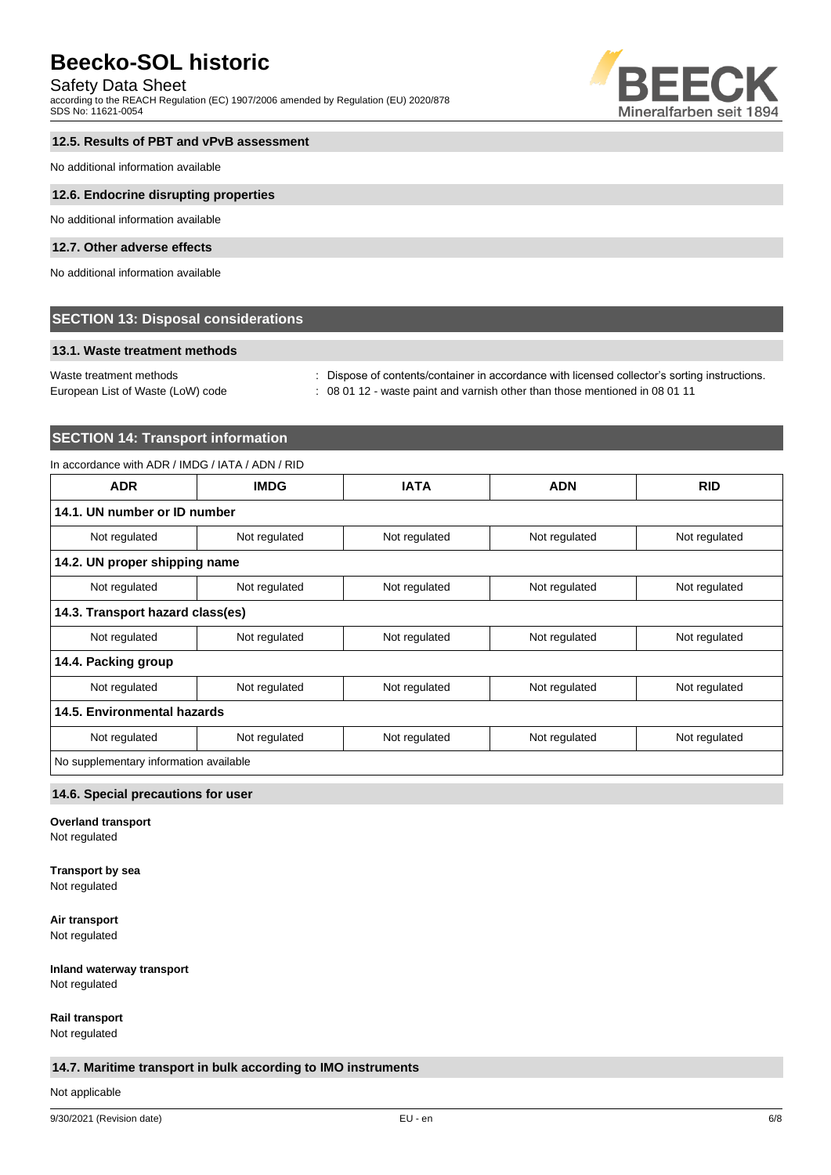# Safety Data Sheet

according to the REACH Regulation (EC) 1907/2006 amended by Regulation (EU) 2020/878 SDS No: 11621-0054



# **12.5. Results of PBT and vPvB assessment**

No additional information available

### **12.6. Endocrine disrupting properties**

No additional information available

# **12.7. Other adverse effects**

No additional information available

# **SECTION 13: Disposal considerations**

# **13.1. Waste treatment methods**

Waste treatment methods : Dispose of contents/container in accordance with licensed collector's sorting instructions.

European List of Waste (LoW) code : 08 01 12 - waste paint and varnish other than those mentioned in 08 01 11

# **SECTION 14: Transport information**

# In accordance with ADR / IMDG / IATA / ADN / RID

| <b>ADR</b>                             | <b>IMDG</b>                  | <b>IATA</b>   | <b>ADN</b>    | <b>RID</b>    |
|----------------------------------------|------------------------------|---------------|---------------|---------------|
|                                        | 14.1. UN number or ID number |               |               |               |
| Not regulated                          | Not regulated                | Not regulated | Not regulated | Not regulated |
| 14.2. UN proper shipping name          |                              |               |               |               |
| Not regulated                          | Not regulated                | Not regulated | Not regulated | Not regulated |
| 14.3. Transport hazard class(es)       |                              |               |               |               |
| Not regulated                          | Not regulated                | Not regulated | Not regulated | Not regulated |
| 14.4. Packing group                    |                              |               |               |               |
| Not regulated                          | Not regulated                | Not regulated | Not regulated | Not regulated |
| 14.5. Environmental hazards            |                              |               |               |               |
| Not regulated                          | Not regulated                | Not regulated | Not regulated | Not regulated |
| No supplementary information available |                              |               |               |               |

# **14.6. Special precautions for user**

**Overland transport**

Not regulated

# **Transport by sea**

Not regulated

**Air transport**

Not regulated

### **Inland waterway transport** Not regulated

**Rail transport**

Not regulated

# **14.7. Maritime transport in bulk according to IMO instruments**

Not applicable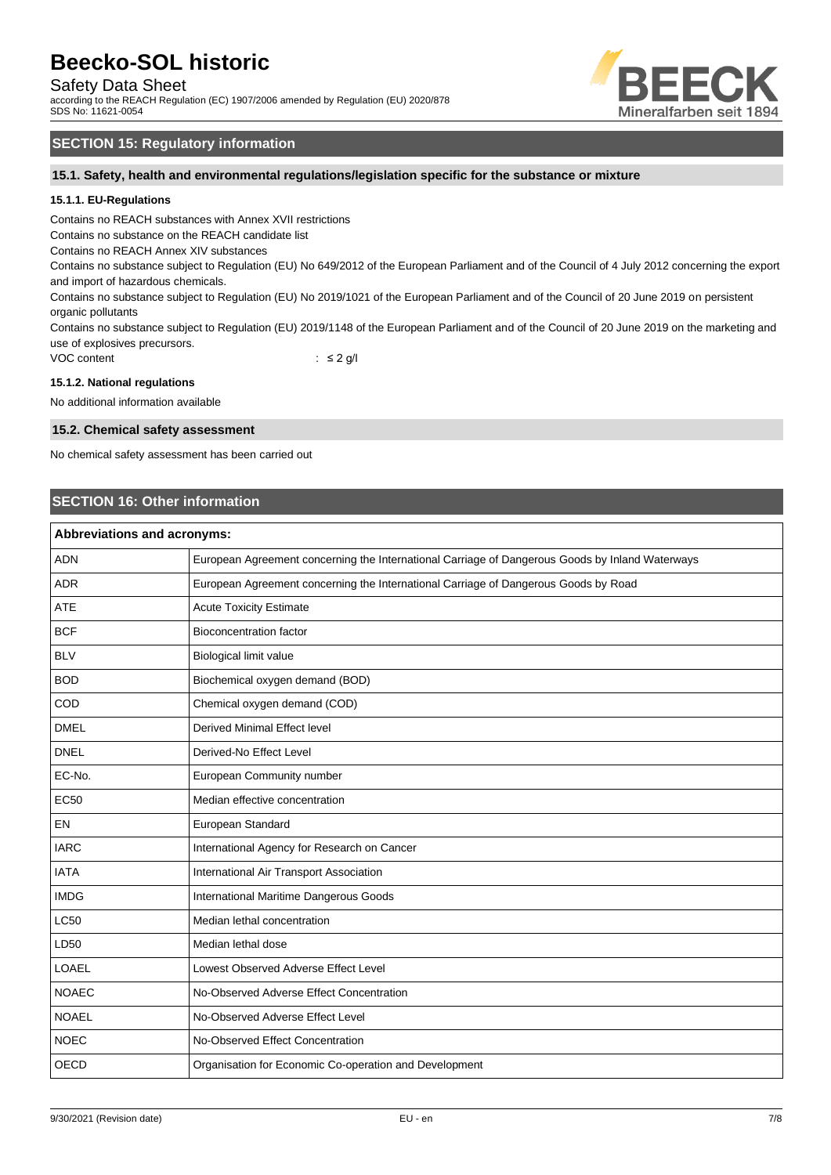Safety Data Sheet

according to the REACH Regulation (EC) 1907/2006 amended by Regulation (EU) 2020/878 SDS No: 11621-0054



# **SECTION 15: Regulatory information**

**15.1. Safety, health and environmental regulations/legislation specific for the substance or mixture**

# **15.1.1. EU-Regulations**

Contains no REACH substances with Annex XVII restrictions

Contains no substance on the REACH candidate list

Contains no REACH Annex XIV substances

Contains no substance subject to Regulation (EU) No 649/2012 of the European Parliament and of the Council of 4 July 2012 concerning the export and import of hazardous chemicals.

Contains no substance subject to Regulation (EU) No 2019/1021 of the European Parliament and of the Council of 20 June 2019 on persistent organic pollutants

Contains no substance subject to Regulation (EU) 2019/1148 of the European Parliament and of the Council of 20 June 2019 on the marketing and use of explosives precursors.

VOC content : ≤ 2 g/l

#### **15.1.2. National regulations**

No additional information available

#### **15.2. Chemical safety assessment**

No chemical safety assessment has been carried out

# **SECTION 16: Other information**

| <b>Abbreviations and acronyms:</b> |                                                                                                 |  |
|------------------------------------|-------------------------------------------------------------------------------------------------|--|
| <b>ADN</b>                         | European Agreement concerning the International Carriage of Dangerous Goods by Inland Waterways |  |
| <b>ADR</b>                         | European Agreement concerning the International Carriage of Dangerous Goods by Road             |  |
| <b>ATE</b>                         | <b>Acute Toxicity Estimate</b>                                                                  |  |
| <b>BCF</b>                         | <b>Bioconcentration factor</b>                                                                  |  |
| <b>BLV</b>                         | Biological limit value                                                                          |  |
| <b>BOD</b>                         | Biochemical oxygen demand (BOD)                                                                 |  |
| COD                                | Chemical oxygen demand (COD)                                                                    |  |
| <b>DMEL</b>                        | Derived Minimal Effect level                                                                    |  |
| <b>DNEL</b>                        | Derived-No Effect Level                                                                         |  |
| EC-No.                             | European Community number                                                                       |  |
| <b>EC50</b>                        | Median effective concentration                                                                  |  |
| EN                                 | European Standard                                                                               |  |
| <b>IARC</b>                        | International Agency for Research on Cancer                                                     |  |
| <b>IATA</b>                        | International Air Transport Association                                                         |  |
| <b>IMDG</b>                        | International Maritime Dangerous Goods                                                          |  |
| <b>LC50</b>                        | Median lethal concentration                                                                     |  |
| LD50                               | Median lethal dose                                                                              |  |
| <b>LOAEL</b>                       | Lowest Observed Adverse Effect Level                                                            |  |
| <b>NOAEC</b>                       | No-Observed Adverse Effect Concentration                                                        |  |
| <b>NOAEL</b>                       | No-Observed Adverse Effect Level                                                                |  |
| <b>NOEC</b>                        | No-Observed Effect Concentration                                                                |  |
| <b>OECD</b>                        | Organisation for Economic Co-operation and Development                                          |  |